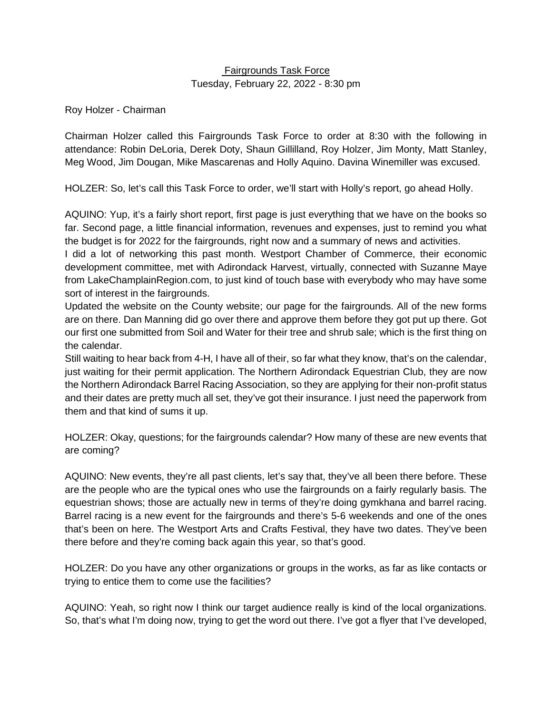### Fairgrounds Task Force Tuesday, February 22, 2022 - 8:30 pm

Roy Holzer - Chairman

Chairman Holzer called this Fairgrounds Task Force to order at 8:30 with the following in attendance: Robin DeLoria, Derek Doty, Shaun Gillilland, Roy Holzer, Jim Monty, Matt Stanley, Meg Wood, Jim Dougan, Mike Mascarenas and Holly Aquino. Davina Winemiller was excused.

HOLZER: So, let's call this Task Force to order, we'll start with Holly's report, go ahead Holly.

AQUINO: Yup, it's a fairly short report, first page is just everything that we have on the books so far. Second page, a little financial information, revenues and expenses, just to remind you what the budget is for 2022 for the fairgrounds, right now and a summary of news and activities.

I did a lot of networking this past month. Westport Chamber of Commerce, their economic development committee, met with Adirondack Harvest, virtually, connected with Suzanne Maye from LakeChamplainRegion.com, to just kind of touch base with everybody who may have some sort of interest in the fairgrounds.

Updated the website on the County website; our page for the fairgrounds. All of the new forms are on there. Dan Manning did go over there and approve them before they got put up there. Got our first one submitted from Soil and Water for their tree and shrub sale; which is the first thing on the calendar.

Still waiting to hear back from 4-H, I have all of their, so far what they know, that's on the calendar, just waiting for their permit application. The Northern Adirondack Equestrian Club, they are now the Northern Adirondack Barrel Racing Association, so they are applying for their non-profit status and their dates are pretty much all set, they've got their insurance. I just need the paperwork from them and that kind of sums it up.

HOLZER: Okay, questions; for the fairgrounds calendar? How many of these are new events that are coming?

AQUINO: New events, they're all past clients, let's say that, they've all been there before. These are the people who are the typical ones who use the fairgrounds on a fairly regularly basis. The equestrian shows; those are actually new in terms of they're doing gymkhana and barrel racing. Barrel racing is a new event for the fairgrounds and there's 5-6 weekends and one of the ones that's been on here. The Westport Arts and Crafts Festival, they have two dates. They've been there before and they're coming back again this year, so that's good.

HOLZER: Do you have any other organizations or groups in the works, as far as like contacts or trying to entice them to come use the facilities?

AQUINO: Yeah, so right now I think our target audience really is kind of the local organizations. So, that's what I'm doing now, trying to get the word out there. I've got a flyer that I've developed,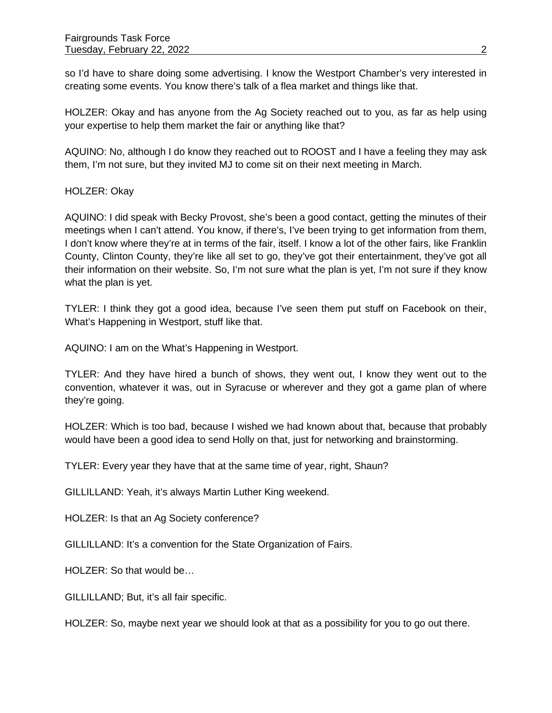so I'd have to share doing some advertising. I know the Westport Chamber's very interested in creating some events. You know there's talk of a flea market and things like that.

HOLZER: Okay and has anyone from the Ag Society reached out to you, as far as help using your expertise to help them market the fair or anything like that?

AQUINO: No, although I do know they reached out to ROOST and I have a feeling they may ask them, I'm not sure, but they invited MJ to come sit on their next meeting in March.

HOLZER: Okay

AQUINO: I did speak with Becky Provost, she's been a good contact, getting the minutes of their meetings when I can't attend. You know, if there's, I've been trying to get information from them, I don't know where they're at in terms of the fair, itself. I know a lot of the other fairs, like Franklin County, Clinton County, they're like all set to go, they've got their entertainment, they've got all their information on their website. So, I'm not sure what the plan is yet, I'm not sure if they know what the plan is yet.

TYLER: I think they got a good idea, because I've seen them put stuff on Facebook on their, What's Happening in Westport, stuff like that.

AQUINO: I am on the What's Happening in Westport.

TYLER: And they have hired a bunch of shows, they went out, I know they went out to the convention, whatever it was, out in Syracuse or wherever and they got a game plan of where they're going.

HOLZER: Which is too bad, because I wished we had known about that, because that probably would have been a good idea to send Holly on that, just for networking and brainstorming.

TYLER: Every year they have that at the same time of year, right, Shaun?

GILLILLAND: Yeah, it's always Martin Luther King weekend.

HOLZER: Is that an Ag Society conference?

GILLILLAND: It's a convention for the State Organization of Fairs.

HOLZER: So that would be…

GILLILLAND; But, it's all fair specific.

HOLZER: So, maybe next year we should look at that as a possibility for you to go out there.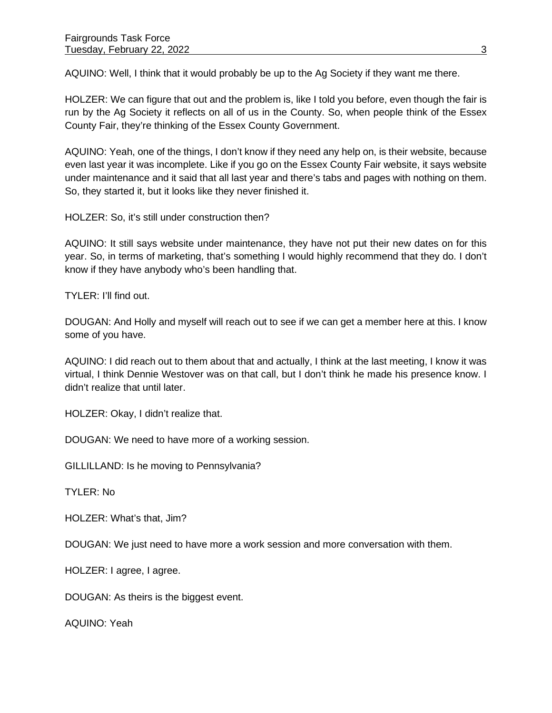AQUINO: Well, I think that it would probably be up to the Ag Society if they want me there.

HOLZER: We can figure that out and the problem is, like I told you before, even though the fair is run by the Ag Society it reflects on all of us in the County. So, when people think of the Essex County Fair, they're thinking of the Essex County Government.

AQUINO: Yeah, one of the things, I don't know if they need any help on, is their website, because even last year it was incomplete. Like if you go on the Essex County Fair website, it says website under maintenance and it said that all last year and there's tabs and pages with nothing on them. So, they started it, but it looks like they never finished it.

HOLZER: So, it's still under construction then?

AQUINO: It still says website under maintenance, they have not put their new dates on for this year. So, in terms of marketing, that's something I would highly recommend that they do. I don't know if they have anybody who's been handling that.

TYLER: I'll find out.

DOUGAN: And Holly and myself will reach out to see if we can get a member here at this. I know some of you have.

AQUINO: I did reach out to them about that and actually, I think at the last meeting, I know it was virtual, I think Dennie Westover was on that call, but I don't think he made his presence know. I didn't realize that until later.

HOLZER: Okay, I didn't realize that.

DOUGAN: We need to have more of a working session.

GILLILLAND: Is he moving to Pennsylvania?

TYLER: No

HOLZER: What's that, Jim?

DOUGAN: We just need to have more a work session and more conversation with them.

HOLZER: I agree, I agree.

DOUGAN: As theirs is the biggest event.

AQUINO: Yeah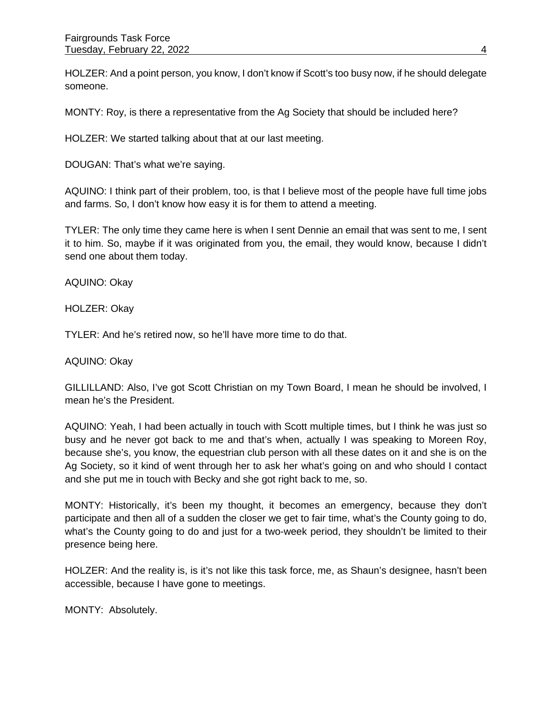HOLZER: And a point person, you know, I don't know if Scott's too busy now, if he should delegate someone.

MONTY: Roy, is there a representative from the Ag Society that should be included here?

HOLZER: We started talking about that at our last meeting.

DOUGAN: That's what we're saying.

AQUINO: I think part of their problem, too, is that I believe most of the people have full time jobs and farms. So, I don't know how easy it is for them to attend a meeting.

TYLER: The only time they came here is when I sent Dennie an email that was sent to me, I sent it to him. So, maybe if it was originated from you, the email, they would know, because I didn't send one about them today.

AQUINO: Okay

HOLZER: Okay

TYLER: And he's retired now, so he'll have more time to do that.

AQUINO: Okay

GILLILLAND: Also, I've got Scott Christian on my Town Board, I mean he should be involved, I mean he's the President.

AQUINO: Yeah, I had been actually in touch with Scott multiple times, but I think he was just so busy and he never got back to me and that's when, actually I was speaking to Moreen Roy, because she's, you know, the equestrian club person with all these dates on it and she is on the Ag Society, so it kind of went through her to ask her what's going on and who should I contact and she put me in touch with Becky and she got right back to me, so.

MONTY: Historically, it's been my thought, it becomes an emergency, because they don't participate and then all of a sudden the closer we get to fair time, what's the County going to do, what's the County going to do and just for a two-week period, they shouldn't be limited to their presence being here.

HOLZER: And the reality is, is it's not like this task force, me, as Shaun's designee, hasn't been accessible, because I have gone to meetings.

MONTY: Absolutely.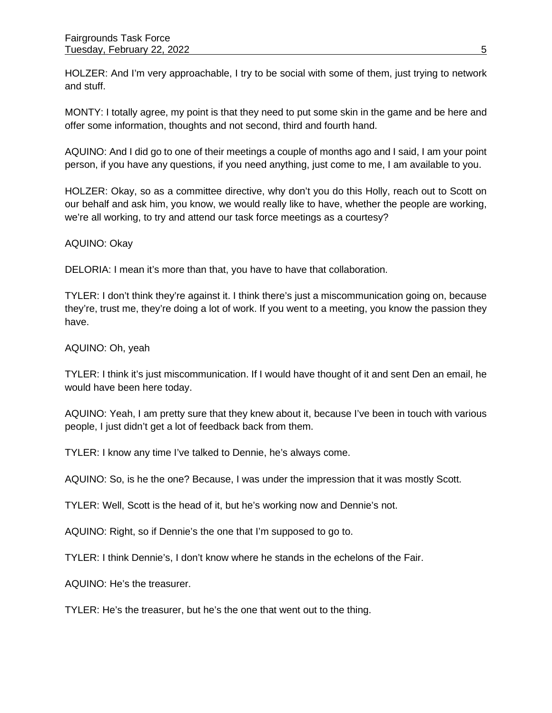HOLZER: And I'm very approachable, I try to be social with some of them, just trying to network and stuff.

MONTY: I totally agree, my point is that they need to put some skin in the game and be here and offer some information, thoughts and not second, third and fourth hand.

AQUINO: And I did go to one of their meetings a couple of months ago and I said, I am your point person, if you have any questions, if you need anything, just come to me, I am available to you.

HOLZER: Okay, so as a committee directive, why don't you do this Holly, reach out to Scott on our behalf and ask him, you know, we would really like to have, whether the people are working, we're all working, to try and attend our task force meetings as a courtesy?

#### AQUINO: Okay

DELORIA: I mean it's more than that, you have to have that collaboration.

TYLER: I don't think they're against it. I think there's just a miscommunication going on, because they're, trust me, they're doing a lot of work. If you went to a meeting, you know the passion they have.

## AQUINO: Oh, yeah

TYLER: I think it's just miscommunication. If I would have thought of it and sent Den an email, he would have been here today.

AQUINO: Yeah, I am pretty sure that they knew about it, because I've been in touch with various people, I just didn't get a lot of feedback back from them.

TYLER: I know any time I've talked to Dennie, he's always come.

AQUINO: So, is he the one? Because, I was under the impression that it was mostly Scott.

TYLER: Well, Scott is the head of it, but he's working now and Dennie's not.

AQUINO: Right, so if Dennie's the one that I'm supposed to go to.

TYLER: I think Dennie's, I don't know where he stands in the echelons of the Fair.

AQUINO: He's the treasurer.

TYLER: He's the treasurer, but he's the one that went out to the thing.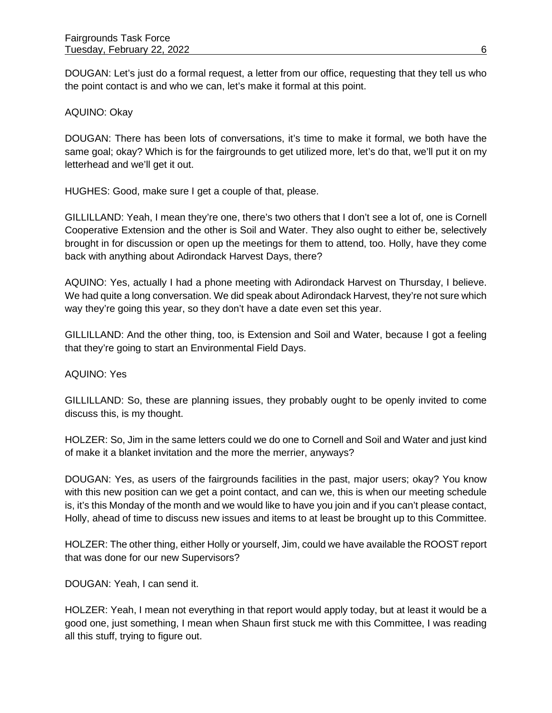DOUGAN: Let's just do a formal request, a letter from our office, requesting that they tell us who the point contact is and who we can, let's make it formal at this point.

## AQUINO: Okay

DOUGAN: There has been lots of conversations, it's time to make it formal, we both have the same goal; okay? Which is for the fairgrounds to get utilized more, let's do that, we'll put it on my letterhead and we'll get it out.

HUGHES: Good, make sure I get a couple of that, please.

GILLILLAND: Yeah, I mean they're one, there's two others that I don't see a lot of, one is Cornell Cooperative Extension and the other is Soil and Water. They also ought to either be, selectively brought in for discussion or open up the meetings for them to attend, too. Holly, have they come back with anything about Adirondack Harvest Days, there?

AQUINO: Yes, actually I had a phone meeting with Adirondack Harvest on Thursday, I believe. We had quite a long conversation. We did speak about Adirondack Harvest, they're not sure which way they're going this year, so they don't have a date even set this year.

GILLILLAND: And the other thing, too, is Extension and Soil and Water, because I got a feeling that they're going to start an Environmental Field Days.

#### AQUINO: Yes

GILLILLAND: So, these are planning issues, they probably ought to be openly invited to come discuss this, is my thought.

HOLZER: So, Jim in the same letters could we do one to Cornell and Soil and Water and just kind of make it a blanket invitation and the more the merrier, anyways?

DOUGAN: Yes, as users of the fairgrounds facilities in the past, major users; okay? You know with this new position can we get a point contact, and can we, this is when our meeting schedule is, it's this Monday of the month and we would like to have you join and if you can't please contact, Holly, ahead of time to discuss new issues and items to at least be brought up to this Committee.

HOLZER: The other thing, either Holly or yourself, Jim, could we have available the ROOST report that was done for our new Supervisors?

DOUGAN: Yeah, I can send it.

HOLZER: Yeah, I mean not everything in that report would apply today, but at least it would be a good one, just something, I mean when Shaun first stuck me with this Committee, I was reading all this stuff, trying to figure out.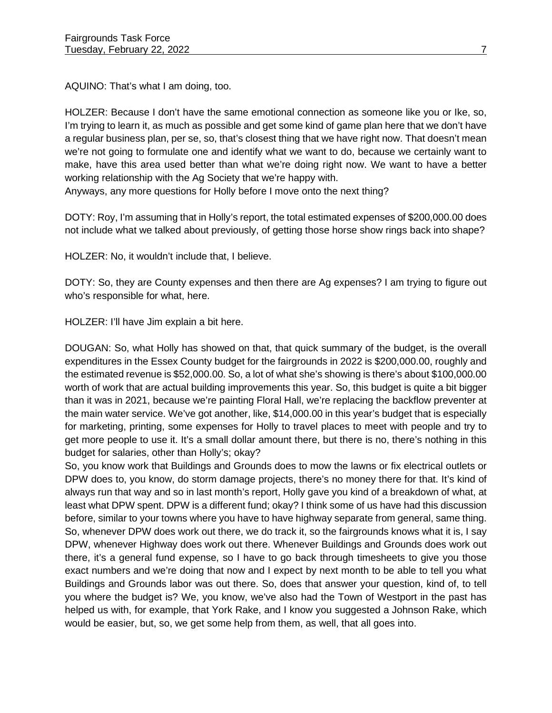AQUINO: That's what I am doing, too.

HOLZER: Because I don't have the same emotional connection as someone like you or Ike, so, I'm trying to learn it, as much as possible and get some kind of game plan here that we don't have a regular business plan, per se, so, that's closest thing that we have right now. That doesn't mean we're not going to formulate one and identify what we want to do, because we certainly want to make, have this area used better than what we're doing right now. We want to have a better working relationship with the Ag Society that we're happy with.

Anyways, any more questions for Holly before I move onto the next thing?

DOTY: Roy, I'm assuming that in Holly's report, the total estimated expenses of \$200,000.00 does not include what we talked about previously, of getting those horse show rings back into shape?

HOLZER: No, it wouldn't include that, I believe.

DOTY: So, they are County expenses and then there are Ag expenses? I am trying to figure out who's responsible for what, here.

HOLZER: I'll have Jim explain a bit here.

DOUGAN: So, what Holly has showed on that, that quick summary of the budget, is the overall expenditures in the Essex County budget for the fairgrounds in 2022 is \$200,000.00, roughly and the estimated revenue is \$52,000.00. So, a lot of what she's showing is there's about \$100,000.00 worth of work that are actual building improvements this year. So, this budget is quite a bit bigger than it was in 2021, because we're painting Floral Hall, we're replacing the backflow preventer at the main water service. We've got another, like, \$14,000.00 in this year's budget that is especially for marketing, printing, some expenses for Holly to travel places to meet with people and try to get more people to use it. It's a small dollar amount there, but there is no, there's nothing in this budget for salaries, other than Holly's; okay?

So, you know work that Buildings and Grounds does to mow the lawns or fix electrical outlets or DPW does to, you know, do storm damage projects, there's no money there for that. It's kind of always run that way and so in last month's report, Holly gave you kind of a breakdown of what, at least what DPW spent. DPW is a different fund; okay? I think some of us have had this discussion before, similar to your towns where you have to have highway separate from general, same thing. So, whenever DPW does work out there, we do track it, so the fairgrounds knows what it is, I say DPW, whenever Highway does work out there. Whenever Buildings and Grounds does work out there, it's a general fund expense, so I have to go back through timesheets to give you those exact numbers and we're doing that now and I expect by next month to be able to tell you what Buildings and Grounds labor was out there. So, does that answer your question, kind of, to tell you where the budget is? We, you know, we've also had the Town of Westport in the past has helped us with, for example, that York Rake, and I know you suggested a Johnson Rake, which would be easier, but, so, we get some help from them, as well, that all goes into.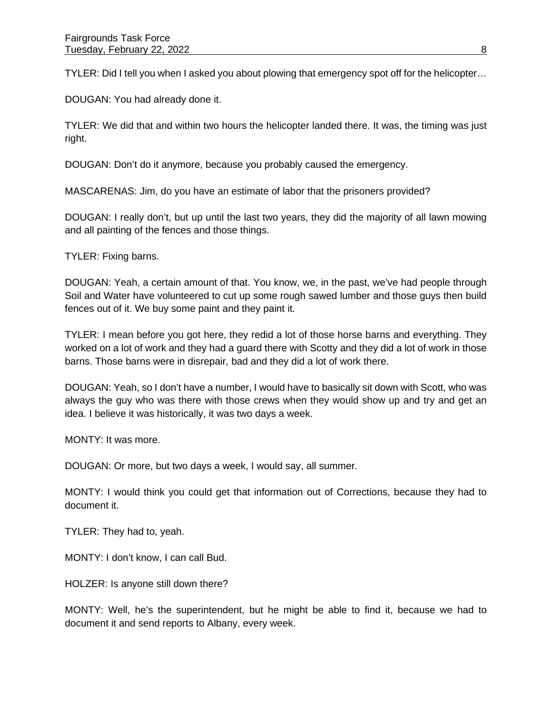TYLER: Did I tell you when I asked you about plowing that emergency spot off for the helicopter…

DOUGAN: You had already done it.

TYLER: We did that and within two hours the helicopter landed there. It was, the timing was just right.

DOUGAN: Don't do it anymore, because you probably caused the emergency.

MASCARENAS: Jim, do you have an estimate of labor that the prisoners provided?

DOUGAN: I really don't, but up until the last two years, they did the majority of all lawn mowing and all painting of the fences and those things.

TYLER: Fixing barns.

DOUGAN: Yeah, a certain amount of that. You know, we, in the past, we've had people through Soil and Water have volunteered to cut up some rough sawed lumber and those guys then build fences out of it. We buy some paint and they paint it.

TYLER: I mean before you got here, they redid a lot of those horse barns and everything. They worked on a lot of work and they had a guard there with Scotty and they did a lot of work in those barns. Those barns were in disrepair, bad and they did a lot of work there.

DOUGAN: Yeah, so I don't have a number, I would have to basically sit down with Scott, who was always the guy who was there with those crews when they would show up and try and get an idea. I believe it was historically, it was two days a week.

MONTY: It was more.

DOUGAN: Or more, but two days a week, I would say, all summer.

MONTY: I would think you could get that information out of Corrections, because they had to document it.

TYLER: They had to, yeah.

MONTY: I don't know, I can call Bud.

HOLZER: Is anyone still down there?

MONTY: Well, he's the superintendent, but he might be able to find it, because we had to document it and send reports to Albany, every week.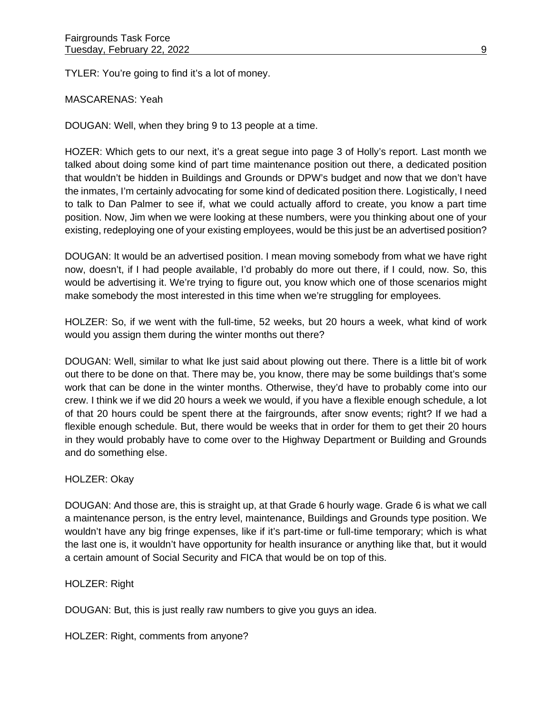TYLER: You're going to find it's a lot of money.

MASCARENAS: Yeah

DOUGAN: Well, when they bring 9 to 13 people at a time.

HOZER: Which gets to our next, it's a great segue into page 3 of Holly's report. Last month we talked about doing some kind of part time maintenance position out there, a dedicated position that wouldn't be hidden in Buildings and Grounds or DPW's budget and now that we don't have the inmates, I'm certainly advocating for some kind of dedicated position there. Logistically, I need to talk to Dan Palmer to see if, what we could actually afford to create, you know a part time position. Now, Jim when we were looking at these numbers, were you thinking about one of your existing, redeploying one of your existing employees, would be this just be an advertised position?

DOUGAN: It would be an advertised position. I mean moving somebody from what we have right now, doesn't, if I had people available, I'd probably do more out there, if I could, now. So, this would be advertising it. We're trying to figure out, you know which one of those scenarios might make somebody the most interested in this time when we're struggling for employees.

HOLZER: So, if we went with the full-time, 52 weeks, but 20 hours a week, what kind of work would you assign them during the winter months out there?

DOUGAN: Well, similar to what Ike just said about plowing out there. There is a little bit of work out there to be done on that. There may be, you know, there may be some buildings that's some work that can be done in the winter months. Otherwise, they'd have to probably come into our crew. I think we if we did 20 hours a week we would, if you have a flexible enough schedule, a lot of that 20 hours could be spent there at the fairgrounds, after snow events; right? If we had a flexible enough schedule. But, there would be weeks that in order for them to get their 20 hours in they would probably have to come over to the Highway Department or Building and Grounds and do something else.

#### HOLZER: Okay

DOUGAN: And those are, this is straight up, at that Grade 6 hourly wage. Grade 6 is what we call a maintenance person, is the entry level, maintenance, Buildings and Grounds type position. We wouldn't have any big fringe expenses, like if it's part-time or full-time temporary; which is what the last one is, it wouldn't have opportunity for health insurance or anything like that, but it would a certain amount of Social Security and FICA that would be on top of this.

HOLZER: Right

DOUGAN: But, this is just really raw numbers to give you guys an idea.

HOLZER: Right, comments from anyone?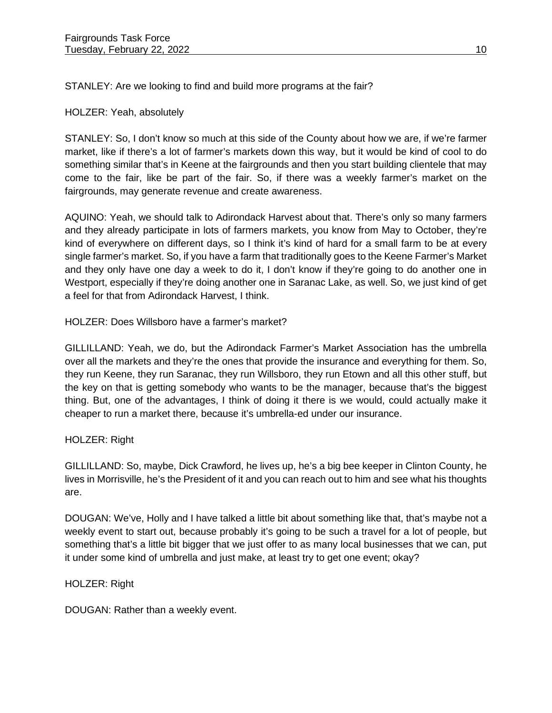STANLEY: Are we looking to find and build more programs at the fair?

### HOLZER: Yeah, absolutely

STANLEY: So, I don't know so much at this side of the County about how we are, if we're farmer market, like if there's a lot of farmer's markets down this way, but it would be kind of cool to do something similar that's in Keene at the fairgrounds and then you start building clientele that may come to the fair, like be part of the fair. So, if there was a weekly farmer's market on the fairgrounds, may generate revenue and create awareness.

AQUINO: Yeah, we should talk to Adirondack Harvest about that. There's only so many farmers and they already participate in lots of farmers markets, you know from May to October, they're kind of everywhere on different days, so I think it's kind of hard for a small farm to be at every single farmer's market. So, if you have a farm that traditionally goes to the Keene Farmer's Market and they only have one day a week to do it, I don't know if they're going to do another one in Westport, especially if they're doing another one in Saranac Lake, as well. So, we just kind of get a feel for that from Adirondack Harvest, I think.

## HOLZER: Does Willsboro have a farmer's market?

GILLILLAND: Yeah, we do, but the Adirondack Farmer's Market Association has the umbrella over all the markets and they're the ones that provide the insurance and everything for them. So, they run Keene, they run Saranac, they run Willsboro, they run Etown and all this other stuff, but the key on that is getting somebody who wants to be the manager, because that's the biggest thing. But, one of the advantages, I think of doing it there is we would, could actually make it cheaper to run a market there, because it's umbrella-ed under our insurance.

#### HOLZER: Right

GILLILLAND: So, maybe, Dick Crawford, he lives up, he's a big bee keeper in Clinton County, he lives in Morrisville, he's the President of it and you can reach out to him and see what his thoughts are.

DOUGAN: We've, Holly and I have talked a little bit about something like that, that's maybe not a weekly event to start out, because probably it's going to be such a travel for a lot of people, but something that's a little bit bigger that we just offer to as many local businesses that we can, put it under some kind of umbrella and just make, at least try to get one event; okay?

## HOLZER: Right

DOUGAN: Rather than a weekly event.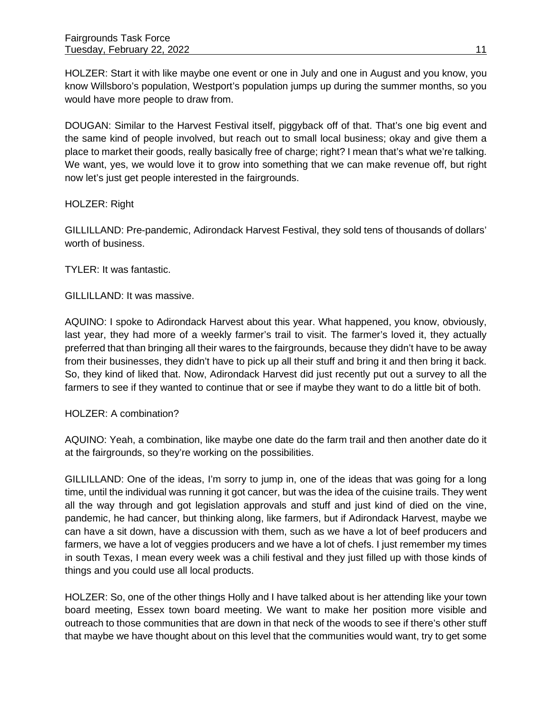HOLZER: Start it with like maybe one event or one in July and one in August and you know, you know Willsboro's population, Westport's population jumps up during the summer months, so you would have more people to draw from.

DOUGAN: Similar to the Harvest Festival itself, piggyback off of that. That's one big event and the same kind of people involved, but reach out to small local business; okay and give them a place to market their goods, really basically free of charge; right? I mean that's what we're talking. We want, yes, we would love it to grow into something that we can make revenue off, but right now let's just get people interested in the fairgrounds.

HOLZER: Right

GILLILLAND: Pre-pandemic, Adirondack Harvest Festival, they sold tens of thousands of dollars' worth of business.

TYLER: It was fantastic.

GILLILLAND: It was massive.

AQUINO: I spoke to Adirondack Harvest about this year. What happened, you know, obviously, last year, they had more of a weekly farmer's trail to visit. The farmer's loved it, they actually preferred that than bringing all their wares to the fairgrounds, because they didn't have to be away from their businesses, they didn't have to pick up all their stuff and bring it and then bring it back. So, they kind of liked that. Now, Adirondack Harvest did just recently put out a survey to all the farmers to see if they wanted to continue that or see if maybe they want to do a little bit of both.

HOLZER: A combination?

AQUINO: Yeah, a combination, like maybe one date do the farm trail and then another date do it at the fairgrounds, so they're working on the possibilities.

GILLILLAND: One of the ideas, I'm sorry to jump in, one of the ideas that was going for a long time, until the individual was running it got cancer, but was the idea of the cuisine trails. They went all the way through and got legislation approvals and stuff and just kind of died on the vine, pandemic, he had cancer, but thinking along, like farmers, but if Adirondack Harvest, maybe we can have a sit down, have a discussion with them, such as we have a lot of beef producers and farmers, we have a lot of veggies producers and we have a lot of chefs. I just remember my times in south Texas, I mean every week was a chili festival and they just filled up with those kinds of things and you could use all local products.

HOLZER: So, one of the other things Holly and I have talked about is her attending like your town board meeting, Essex town board meeting. We want to make her position more visible and outreach to those communities that are down in that neck of the woods to see if there's other stuff that maybe we have thought about on this level that the communities would want, try to get some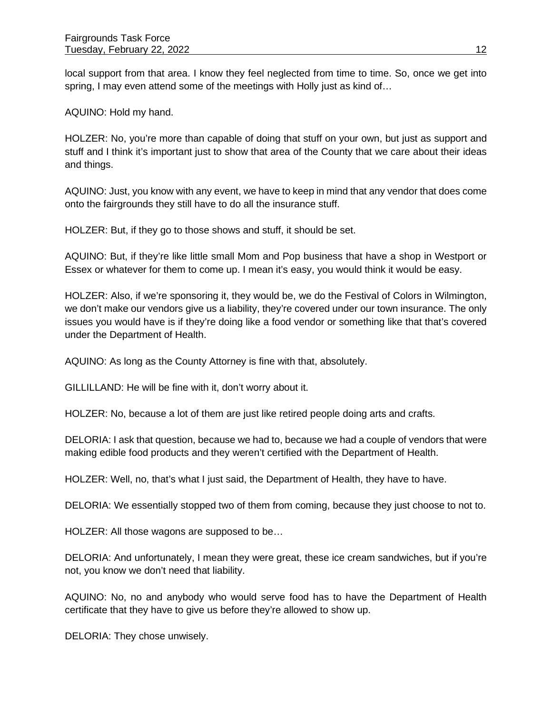local support from that area. I know they feel neglected from time to time. So, once we get into spring, I may even attend some of the meetings with Holly just as kind of...

AQUINO: Hold my hand.

HOLZER: No, you're more than capable of doing that stuff on your own, but just as support and stuff and I think it's important just to show that area of the County that we care about their ideas and things.

AQUINO: Just, you know with any event, we have to keep in mind that any vendor that does come onto the fairgrounds they still have to do all the insurance stuff.

HOLZER: But, if they go to those shows and stuff, it should be set.

AQUINO: But, if they're like little small Mom and Pop business that have a shop in Westport or Essex or whatever for them to come up. I mean it's easy, you would think it would be easy.

HOLZER: Also, if we're sponsoring it, they would be, we do the Festival of Colors in Wilmington, we don't make our vendors give us a liability, they're covered under our town insurance. The only issues you would have is if they're doing like a food vendor or something like that that's covered under the Department of Health.

AQUINO: As long as the County Attorney is fine with that, absolutely.

GILLILLAND: He will be fine with it, don't worry about it.

HOLZER: No, because a lot of them are just like retired people doing arts and crafts.

DELORIA: I ask that question, because we had to, because we had a couple of vendors that were making edible food products and they weren't certified with the Department of Health.

HOLZER: Well, no, that's what I just said, the Department of Health, they have to have.

DELORIA: We essentially stopped two of them from coming, because they just choose to not to.

HOLZER: All those wagons are supposed to be…

DELORIA: And unfortunately, I mean they were great, these ice cream sandwiches, but if you're not, you know we don't need that liability.

AQUINO: No, no and anybody who would serve food has to have the Department of Health certificate that they have to give us before they're allowed to show up.

DELORIA: They chose unwisely.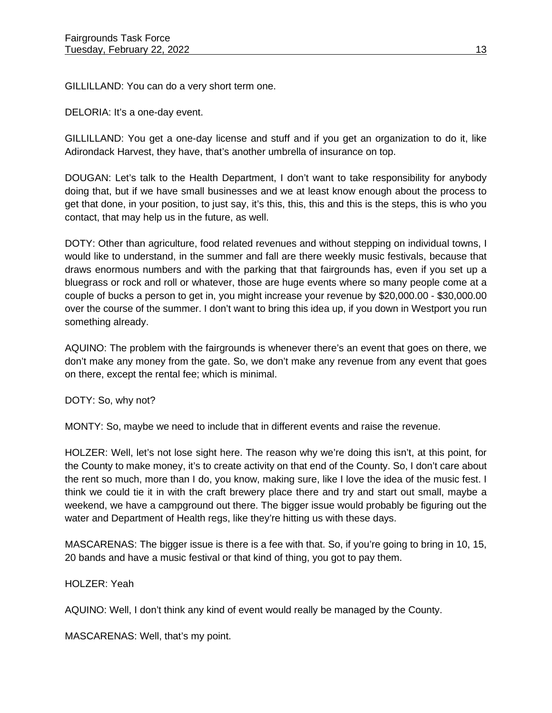GILLILLAND: You can do a very short term one.

DELORIA: It's a one-day event.

GILLILLAND: You get a one-day license and stuff and if you get an organization to do it, like Adirondack Harvest, they have, that's another umbrella of insurance on top.

DOUGAN: Let's talk to the Health Department, I don't want to take responsibility for anybody doing that, but if we have small businesses and we at least know enough about the process to get that done, in your position, to just say, it's this, this, this and this is the steps, this is who you contact, that may help us in the future, as well.

DOTY: Other than agriculture, food related revenues and without stepping on individual towns, I would like to understand, in the summer and fall are there weekly music festivals, because that draws enormous numbers and with the parking that that fairgrounds has, even if you set up a bluegrass or rock and roll or whatever, those are huge events where so many people come at a couple of bucks a person to get in, you might increase your revenue by \$20,000.00 - \$30,000.00 over the course of the summer. I don't want to bring this idea up, if you down in Westport you run something already.

AQUINO: The problem with the fairgrounds is whenever there's an event that goes on there, we don't make any money from the gate. So, we don't make any revenue from any event that goes on there, except the rental fee; which is minimal.

DOTY: So, why not?

MONTY: So, maybe we need to include that in different events and raise the revenue.

HOLZER: Well, let's not lose sight here. The reason why we're doing this isn't, at this point, for the County to make money, it's to create activity on that end of the County. So, I don't care about the rent so much, more than I do, you know, making sure, like I love the idea of the music fest. I think we could tie it in with the craft brewery place there and try and start out small, maybe a weekend, we have a campground out there. The bigger issue would probably be figuring out the water and Department of Health regs, like they're hitting us with these days.

MASCARENAS: The bigger issue is there is a fee with that. So, if you're going to bring in 10, 15, 20 bands and have a music festival or that kind of thing, you got to pay them.

## HOLZER: Yeah

AQUINO: Well, I don't think any kind of event would really be managed by the County.

MASCARENAS: Well, that's my point.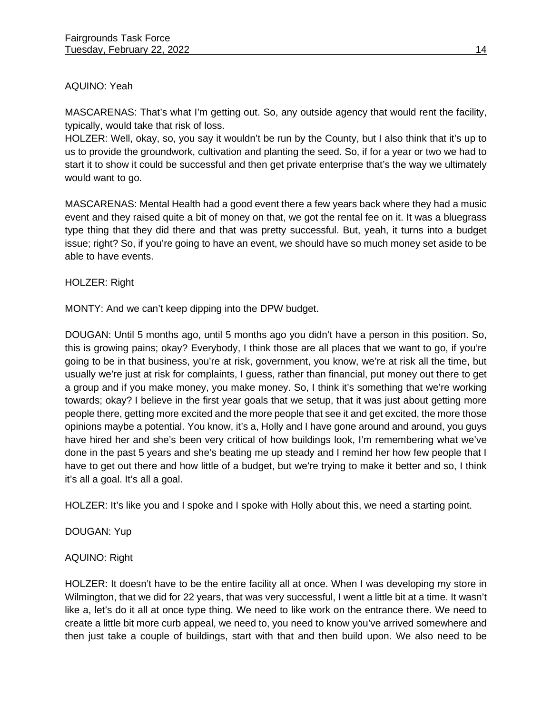## AQUINO: Yeah

MASCARENAS: That's what I'm getting out. So, any outside agency that would rent the facility, typically, would take that risk of loss.

HOLZER: Well, okay, so, you say it wouldn't be run by the County, but I also think that it's up to us to provide the groundwork, cultivation and planting the seed. So, if for a year or two we had to start it to show it could be successful and then get private enterprise that's the way we ultimately would want to go.

MASCARENAS: Mental Health had a good event there a few years back where they had a music event and they raised quite a bit of money on that, we got the rental fee on it. It was a bluegrass type thing that they did there and that was pretty successful. But, yeah, it turns into a budget issue; right? So, if you're going to have an event, we should have so much money set aside to be able to have events.

HOLZER: Right

MONTY: And we can't keep dipping into the DPW budget.

DOUGAN: Until 5 months ago, until 5 months ago you didn't have a person in this position. So, this is growing pains; okay? Everybody, I think those are all places that we want to go, if you're going to be in that business, you're at risk, government, you know, we're at risk all the time, but usually we're just at risk for complaints, I guess, rather than financial, put money out there to get a group and if you make money, you make money. So, I think it's something that we're working towards; okay? I believe in the first year goals that we setup, that it was just about getting more people there, getting more excited and the more people that see it and get excited, the more those opinions maybe a potential. You know, it's a, Holly and I have gone around and around, you guys have hired her and she's been very critical of how buildings look, I'm remembering what we've done in the past 5 years and she's beating me up steady and I remind her how few people that I have to get out there and how little of a budget, but we're trying to make it better and so, I think it's all a goal. It's all a goal.

HOLZER: It's like you and I spoke and I spoke with Holly about this, we need a starting point.

DOUGAN: Yup

#### AQUINO: Right

HOLZER: It doesn't have to be the entire facility all at once. When I was developing my store in Wilmington, that we did for 22 years, that was very successful, I went a little bit at a time. It wasn't like a, let's do it all at once type thing. We need to like work on the entrance there. We need to create a little bit more curb appeal, we need to, you need to know you've arrived somewhere and then just take a couple of buildings, start with that and then build upon. We also need to be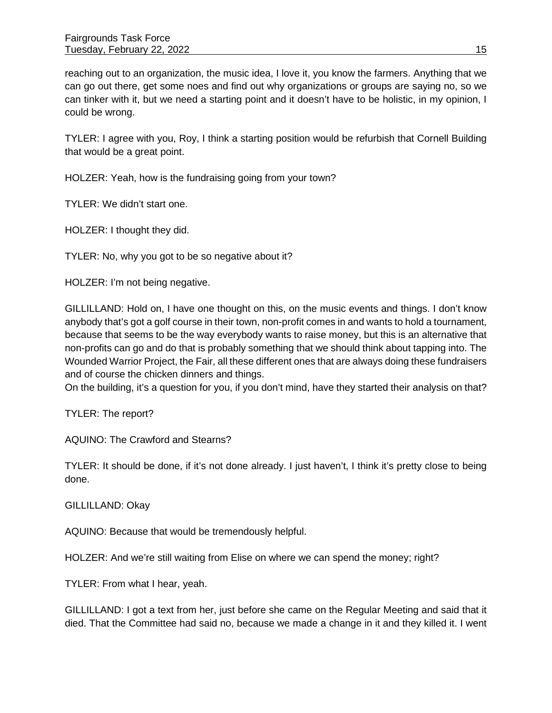reaching out to an organization, the music idea, I love it, you know the farmers. Anything that we can go out there, get some noes and find out why organizations or groups are saying no, so we can tinker with it, but we need a starting point and it doesn't have to be holistic, in my opinion, I could be wrong.

TYLER: I agree with you, Roy, I think a starting position would be refurbish that Cornell Building that would be a great point.

HOLZER: Yeah, how is the fundraising going from your town?

TYLER: We didn't start one.

HOLZER: I thought they did.

TYLER: No, why you got to be so negative about it?

HOLZER: I'm not being negative.

GILLILLAND: Hold on, I have one thought on this, on the music events and things. I don't know anybody that's got a golf course in their town, non-profit comes in and wants to hold a tournament, because that seems to be the way everybody wants to raise money, but this is an alternative that non-profits can go and do that is probably something that we should think about tapping into. The Wounded Warrior Project, the Fair, all these different ones that are always doing these fundraisers and of course the chicken dinners and things.

On the building, it's a question for you, if you don't mind, have they started their analysis on that?

TYLER: The report?

AQUINO: The Crawford and Stearns?

TYLER: It should be done, if it's not done already. I just haven't, I think it's pretty close to being done.

GILLILLAND: Okay

AQUINO: Because that would be tremendously helpful.

HOLZER: And we're still waiting from Elise on where we can spend the money; right?

TYLER: From what I hear, yeah.

GILLILLAND: I got a text from her, just before she came on the Regular Meeting and said that it died. That the Committee had said no, because we made a change in it and they killed it. I went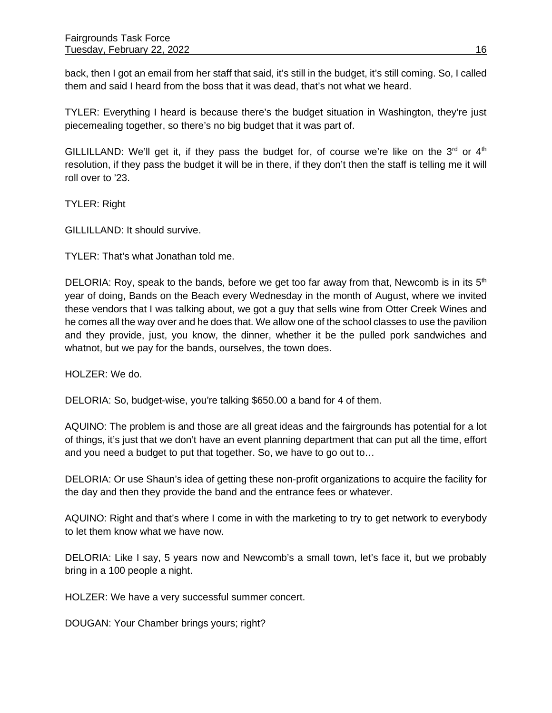back, then I got an email from her staff that said, it's still in the budget, it's still coming. So, I called them and said I heard from the boss that it was dead, that's not what we heard.

TYLER: Everything I heard is because there's the budget situation in Washington, they're just piecemealing together, so there's no big budget that it was part of.

GILLILLAND: We'll get it, if they pass the budget for, of course we're like on the  $3^{rd}$  or  $4^{th}$ resolution, if they pass the budget it will be in there, if they don't then the staff is telling me it will roll over to '23.

TYLER: Right

GILLILLAND: It should survive.

TYLER: That's what Jonathan told me.

DELORIA: Roy, speak to the bands, before we get too far away from that, Newcomb is in its  $5<sup>th</sup>$ year of doing, Bands on the Beach every Wednesday in the month of August, where we invited these vendors that I was talking about, we got a guy that sells wine from Otter Creek Wines and he comes all the way over and he does that. We allow one of the school classes to use the pavilion and they provide, just, you know, the dinner, whether it be the pulled pork sandwiches and whatnot, but we pay for the bands, ourselves, the town does.

HOLZER: We do.

DELORIA: So, budget-wise, you're talking \$650.00 a band for 4 of them.

AQUINO: The problem is and those are all great ideas and the fairgrounds has potential for a lot of things, it's just that we don't have an event planning department that can put all the time, effort and you need a budget to put that together. So, we have to go out to…

DELORIA: Or use Shaun's idea of getting these non-profit organizations to acquire the facility for the day and then they provide the band and the entrance fees or whatever.

AQUINO: Right and that's where I come in with the marketing to try to get network to everybody to let them know what we have now.

DELORIA: Like I say, 5 years now and Newcomb's a small town, let's face it, but we probably bring in a 100 people a night.

HOLZER: We have a very successful summer concert.

DOUGAN: Your Chamber brings yours; right?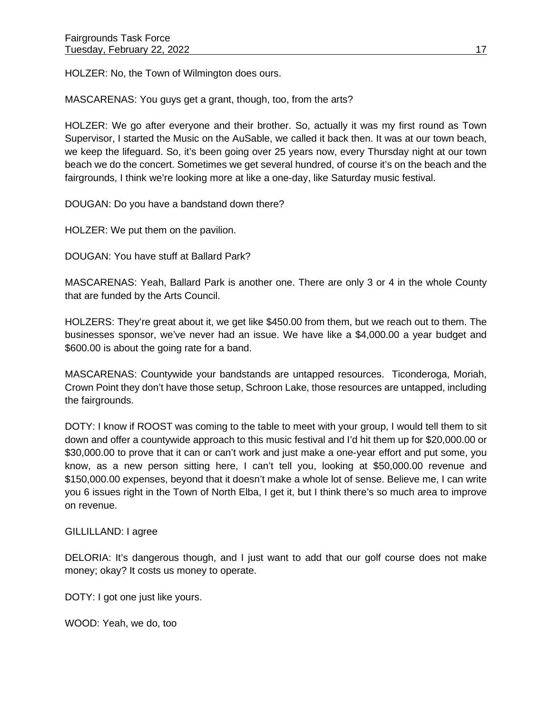HOLZER: No, the Town of Wilmington does ours.

MASCARENAS: You guys get a grant, though, too, from the arts?

HOLZER: We go after everyone and their brother. So, actually it was my first round as Town Supervisor, I started the Music on the AuSable, we called it back then. It was at our town beach, we keep the lifeguard. So, it's been going over 25 years now, every Thursday night at our town beach we do the concert. Sometimes we get several hundred, of course it's on the beach and the fairgrounds, I think we're looking more at like a one-day, like Saturday music festival.

DOUGAN: Do you have a bandstand down there?

HOLZER: We put them on the pavilion.

DOUGAN: You have stuff at Ballard Park?

MASCARENAS: Yeah, Ballard Park is another one. There are only 3 or 4 in the whole County that are funded by the Arts Council.

HOLZERS: They're great about it, we get like \$450.00 from them, but we reach out to them. The businesses sponsor, we've never had an issue. We have like a \$4,000.00 a year budget and \$600.00 is about the going rate for a band.

MASCARENAS: Countywide your bandstands are untapped resources. Ticonderoga, Moriah, Crown Point they don't have those setup, Schroon Lake, those resources are untapped, including the fairgrounds.

DOTY: I know if ROOST was coming to the table to meet with your group, I would tell them to sit down and offer a countywide approach to this music festival and I'd hit them up for \$20,000.00 or \$30,000.00 to prove that it can or can't work and just make a one-year effort and put some, you know, as a new person sitting here, I can't tell you, looking at \$50,000.00 revenue and \$150,000.00 expenses, beyond that it doesn't make a whole lot of sense. Believe me, I can write you 6 issues right in the Town of North Elba, I get it, but I think there's so much area to improve on revenue.

#### GILLILLAND: I agree

DELORIA: It's dangerous though, and I just want to add that our golf course does not make money; okay? It costs us money to operate.

DOTY: I got one just like yours.

WOOD: Yeah, we do, too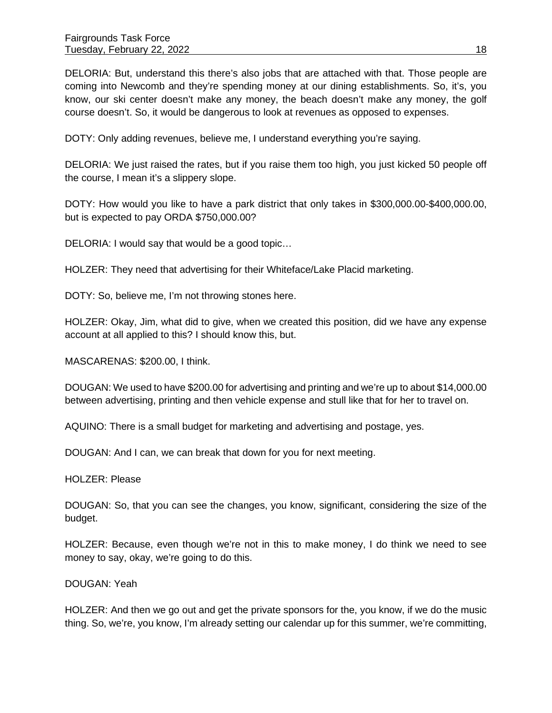DELORIA: But, understand this there's also jobs that are attached with that. Those people are coming into Newcomb and they're spending money at our dining establishments. So, it's, you know, our ski center doesn't make any money, the beach doesn't make any money, the golf course doesn't. So, it would be dangerous to look at revenues as opposed to expenses.

DOTY: Only adding revenues, believe me, I understand everything you're saying.

DELORIA: We just raised the rates, but if you raise them too high, you just kicked 50 people off the course, I mean it's a slippery slope.

DOTY: How would you like to have a park district that only takes in \$300,000.00-\$400,000.00, but is expected to pay ORDA \$750,000.00?

DELORIA: I would say that would be a good topic…

HOLZER: They need that advertising for their Whiteface/Lake Placid marketing.

DOTY: So, believe me, I'm not throwing stones here.

HOLZER: Okay, Jim, what did to give, when we created this position, did we have any expense account at all applied to this? I should know this, but.

MASCARENAS: \$200.00, I think.

DOUGAN: We used to have \$200.00 for advertising and printing and we're up to about \$14,000.00 between advertising, printing and then vehicle expense and stull like that for her to travel on.

AQUINO: There is a small budget for marketing and advertising and postage, yes.

DOUGAN: And I can, we can break that down for you for next meeting.

HOLZER: Please

DOUGAN: So, that you can see the changes, you know, significant, considering the size of the budget.

HOLZER: Because, even though we're not in this to make money, I do think we need to see money to say, okay, we're going to do this.

DOUGAN: Yeah

HOLZER: And then we go out and get the private sponsors for the, you know, if we do the music thing. So, we're, you know, I'm already setting our calendar up for this summer, we're committing,